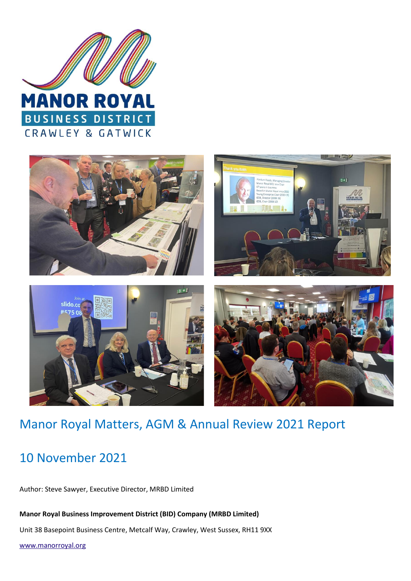



## Manor Royal Matters, AGM & Annual Review 2021 Report

# 10 November 2021

Author: Steve Sawyer, Executive Director, MRBD Limited

**Manor Royal Business Improvement District (BID) Company (MRBD Limited)** Unit 38 Basepoint Business Centre, Metcalf Way, Crawley, West Sussex, RH11 9XX

[www.manorroyal.org](http://www.manorroyal.org/)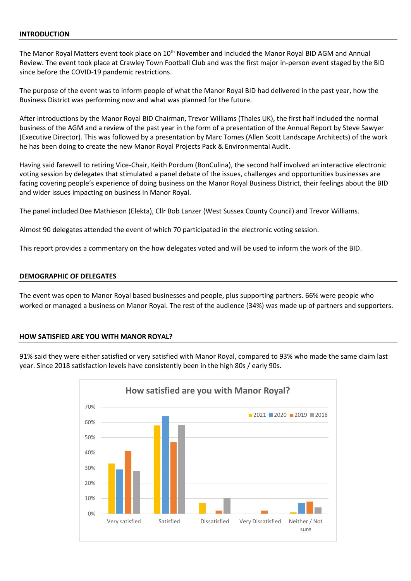## **INTRODUCTION**

The Manor Royal Matters event took place on 10<sup>th</sup> November and included the Manor Royal BID AGM and Annual Review. The event took place at Crawley Town Football Club and was the first major in-person event staged by the BID since before the COVID-19 pandemic restrictions.

The purpose of the event was to inform people of what the Manor Royal BID had delivered in the past year, how the Business District was performing now and what was planned for the future.

After introductions by the Manor Royal BID Chairman, Trevor Williams (Thales UK), the first half included the normal business of the AGM and a review of the past year in the form of a presentation of the Annual Report by Steve Sawyer (Executive Director). This was followed by a presentation by Marc Tomes (Allen Scott Landscape Architects) of the work he has been doing to create the new Manor Royal Projects Pack & Environmental Audit.

Having said farewell to retiring Vice-Chair, Keith Pordum (BonCulina), the second half involved an interactive electronic voting session by delegates that stimulated a panel debate of the issues, challenges and opportunities businesses are facing covering people's experience of doing business on the Manor Royal Business District, their feelings about the BID and wider issues impacting on business in Manor Royal.

The panel included Dee Mathieson (Elekta), Cllr Bob Lanzer (West Sussex County Council) and Trevor Williams.

Almost 90 delegates attended the event of which 70 participated in the electronic voting session.

This report provides a commentary on the how delegates voted and will be used to inform the work of the BID.

## **DEMOGRAPHIC OF DELEGATES**

The event was open to Manor Royal based businesses and people, plus supporting partners. 66% were people who worked or managed a business on Manor Royal. The rest of the audience (34%) was made up of partners and supporters.

### **HOW SATISFIED ARE YOU WITH MANOR ROYAL?**

91% said they were either satisfied or very satisfied with Manor Royal, compared to 93% who made the same claim last year. Since 2018 satisfaction levels have consistently been in the high 80s / early 90s.

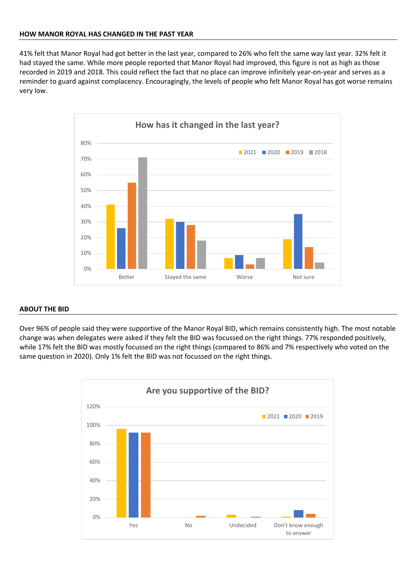41% felt that Manor Royal had got better in the last year, compared to 26% who felt the same way last year. 32% felt it had stayed the same. While more people reported that Manor Royal had improved, this figure is not as high as those recorded in 2019 and 2018. This could reflect the fact that no place can improve infinitely year-on-year and serves as a reminder to guard against complacency. Encouragingly, the levels of people who felt Manor Royal has got worse remains very low.



## **ABOUT THE BID**

Over 96% of people said they were supportive of the Manor Royal BID, which remains consistently high. The most notable change was when delegates were asked if they felt the BID was focussed on the right things. 77% responded positively, while 17% felt the BID was mostly focussed on the right things (compared to 86% and 7% respectively who voted on the same question in 2020). Only 1% felt the BID was not focussed on the right things.

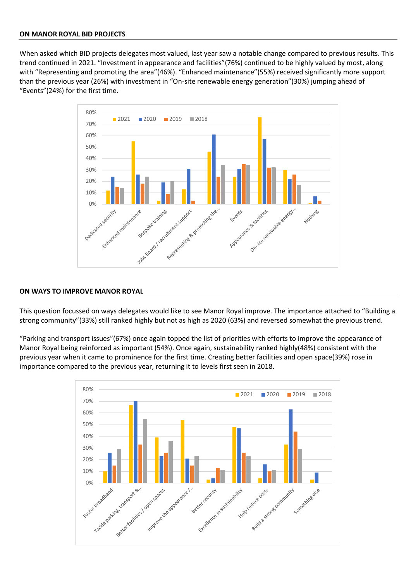## **ON MANOR ROYAL BID PROJECTS**

When asked which BID projects delegates most valued, last year saw a notable change compared to previous results. This trend continued in 2021. "Investment in appearance and facilities"(76%) continued to be highly valued by most, along with "Representing and promoting the area"(46%). "Enhanced maintenance"(55%) received significantly more support than the previous year (26%) with investment in "On-site renewable energy generation"(30%) jumping ahead of "Events"(24%) for the first time.



## **ON WAYS TO IMPROVE MANOR ROYAL**

This question focussed on ways delegates would like to see Manor Royal improve. The importance attached to "Building a strong community"(33%) still ranked highly but not as high as 2020 (63%) and reversed somewhat the previous trend.

"Parking and transport issues"(67%) once again topped the list of priorities with efforts to improve the appearance of Manor Royal being reinforced as important (54%). Once again, sustainability ranked highly(48%) consistent with the previous year when it came to prominence for the first time. Creating better facilities and open space(39%) rose in importance compared to the previous year, returning it to levels first seen in 2018.

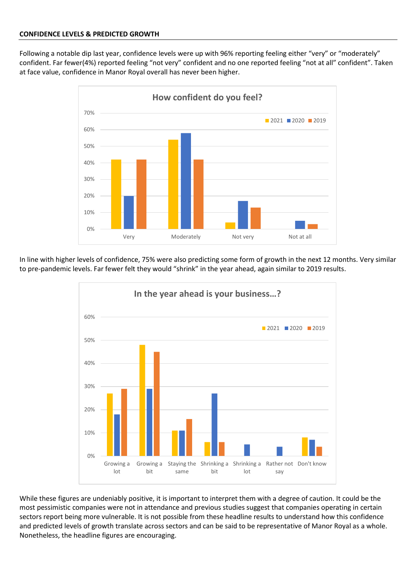Following a notable dip last year, confidence levels were up with 96% reporting feeling either "very" or "moderately" confident. Far fewer(4%) reported feeling "not very" confident and no one reported feeling "not at all" confident". Taken at face value, confidence in Manor Royal overall has never been higher.



In line with higher levels of confidence, 75% were also predicting some form of growth in the next 12 months. Very similar to pre-pandemic levels. Far fewer felt they would "shrink" in the year ahead, again similar to 2019 results.



While these figures are undeniably positive, it is important to interpret them with a degree of caution. It could be the most pessimistic companies were not in attendance and previous studies suggest that companies operating in certain sectors report being more vulnerable. It is not possible from these headline results to understand how this confidence and predicted levels of growth translate across sectors and can be said to be representative of Manor Royal as a whole. Nonetheless, the headline figures are encouraging.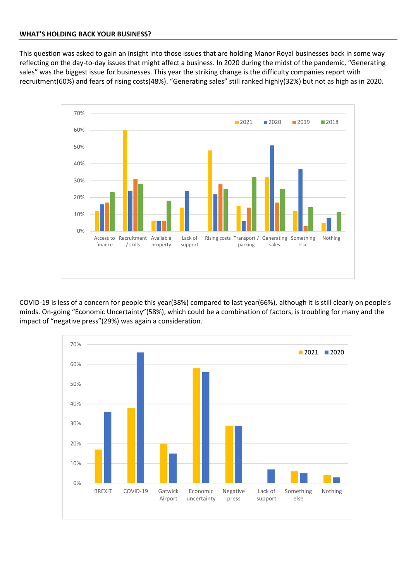This question was asked to gain an insight into those issues that are holding Manor Royal businesses back in some way reflecting on the day-to-day issues that might affect a business. In 2020 during the midst of the pandemic, "Generating sales" was the biggest issue for businesses. This year the striking change is the difficulty companies report with recruitment(60%) and fears of rising costs(48%). "Generating sales" still ranked highly(32%) but not as high as in 2020.



COVID-19 is less of a concern for people this year(38%) compared to last year(66%), although it is still clearly on people's minds. On-going "Economic Uncertainty"(58%), which could be a combination of factors, is troubling for many and the impact of "negative press"(29%) was again a consideration.